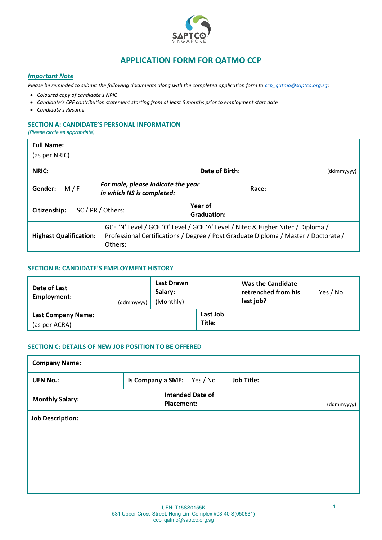

# **APPLICATION FORM FOR QATMO CCP**

## *Important Note*

*Please be reminded to submit the following documents along with the completed application form to [ccp\\_qatmo@saptco.org.sg:](mailto:ccp_qatmo@saptco.org.sg)*

- *Coloured copy of candidate's NRIC*
- *Candidate's CPF contribution statement starting from at least 6 months prior to employment start date*
- *Candidate's Resume*

### **SECTION A: CANDIDATE'S PERSONAL INFORMATION**

*(Please circle as appropriate)*

| <b>Full Name:</b><br>(as per NRIC)                                                                                                                                                                                  |                                                                 |                        |            |  |  |
|---------------------------------------------------------------------------------------------------------------------------------------------------------------------------------------------------------------------|-----------------------------------------------------------------|------------------------|------------|--|--|
| NRIC:                                                                                                                                                                                                               |                                                                 | Date of Birth:         | (ddmmyyyy) |  |  |
| M/F<br>Gender:                                                                                                                                                                                                      | For male, please indicate the year<br>in which NS is completed: |                        | Race:      |  |  |
| SC / PR / Others:<br>Citizenship:                                                                                                                                                                                   |                                                                 | Year of<br>Graduation: |            |  |  |
| GCE 'N' Level / GCE 'O' Level / GCE 'A' Level / Nitec & Higher Nitec / Diploma /<br>Professional Certifications / Degree / Post Graduate Diploma / Master / Doctorate /<br><b>Highest Qualification:</b><br>Others: |                                                                 |                        |            |  |  |

# **SECTION B: CANDIDATE'S EMPLOYMENT HISTORY**

| Date of Last<br>Employment:                | (ddmmyyyy) | Last Drawn<br>Salary:<br>(Monthly) |                    | Was the Candidate<br>retrenched from his<br>last job? | Yes / No |
|--------------------------------------------|------------|------------------------------------|--------------------|-------------------------------------------------------|----------|
| <b>Last Company Name:</b><br>(as per ACRA) |            |                                    | Last Job<br>Title: |                                                       |          |

# **SECTION C: DETAILS OF NEW JOB POSITION TO BE OFFERED**

| <b>Company Name:</b>    |                            |            |                         |                   |  |  |  |
|-------------------------|----------------------------|------------|-------------------------|-------------------|--|--|--|
| <b>UEN No.:</b>         | Is Company a SME: Yes / No |            |                         | <b>Job Title:</b> |  |  |  |
| <b>Monthly Salary:</b>  |                            | Placement: | <b>Intended Date of</b> | (ddmmyyyy)        |  |  |  |
| <b>Job Description:</b> |                            |            |                         |                   |  |  |  |
|                         |                            |            |                         |                   |  |  |  |
|                         |                            |            |                         |                   |  |  |  |